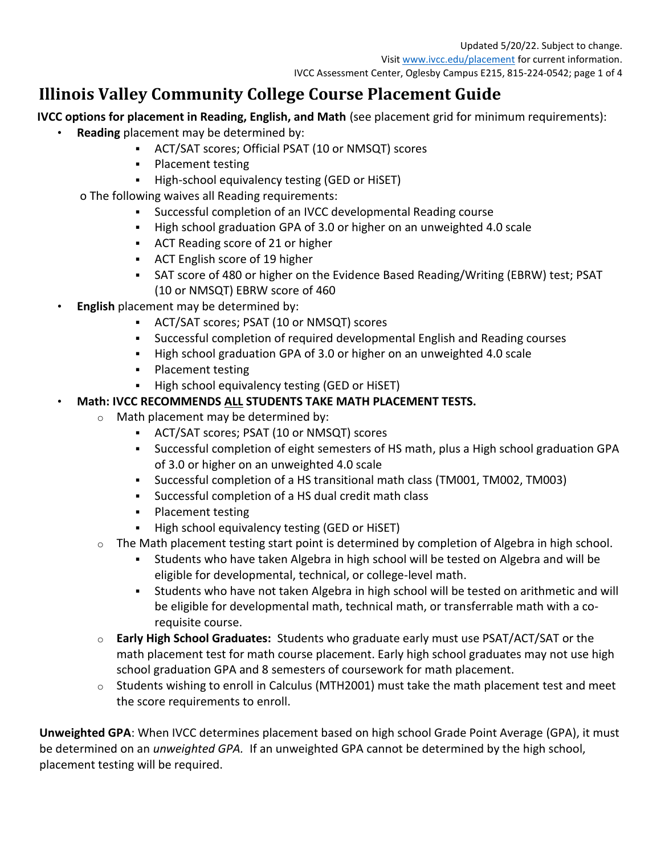# **Illinois Valley Community College Course Placement Guide**

**IVCC options for placement in Reading, English, and Math** (see placement grid for minimum requirements):

- **Reading** placement may be determined by:
	- ACT/SAT scores; Official PSAT (10 or NMSQT) scores
	- **•** Placement testing
	- High-school equivalency testing (GED or HiSET)
	- o The following waives all Reading requirements:
		- Successful completion of an IVCC developmental Reading course
		- High school graduation GPA of 3.0 or higher on an unweighted 4.0 scale
		- ACT Reading score of 21 or higher
		- ACT English score of 19 higher
		- SAT score of 480 or higher on the Evidence Based Reading/Writing (EBRW) test; PSAT (10 or NMSQT) EBRW score of 460
- **English** placement may be determined by:
	- ACT/SAT scores; PSAT (10 or NMSQT) scores
	- **EXECT** Successful completion of required developmental English and Reading courses
	- High school graduation GPA of 3.0 or higher on an unweighted 4.0 scale
	- Placement testing
	- High school equivalency testing (GED or HiSET)

## • **Math: IVCC RECOMMENDS ALL STUDENTS TAKE MATH PLACEMENT TESTS.**

- o Math placement may be determined by:
	- ACT/SAT scores; PSAT (10 or NMSQT) scores
	- Successful completion of eight semesters of HS math, plus a High school graduation GPA of 3.0 or higher on an unweighted 4.0 scale
	- Successful completion of a HS transitional math class (TM001, TM002, TM003)
	- Successful completion of a HS dual credit math class
	- Placement testing
	- High school equivalency testing (GED or HiSET)
- $\circ$  The Math placement testing start point is determined by completion of Algebra in high school.
	- Students who have taken Algebra in high school will be tested on Algebra and will be eligible for developmental, technical, or college-level math.
	- Students who have not taken Algebra in high school will be tested on arithmetic and will be eligible for developmental math, technical math, or transferrable math with a corequisite course.
- o **Early High School Graduates:** Students who graduate early must use PSAT/ACT/SAT or the math placement test for math course placement. Early high school graduates may not use high school graduation GPA and 8 semesters of coursework for math placement.
- $\circ$  Students wishing to enroll in Calculus (MTH2001) must take the math placement test and meet the score requirements to enroll.

**Unweighted GPA**: When IVCC determines placement based on high school Grade Point Average (GPA), it must be determined on an *unweighted GPA.* If an unweighted GPA cannot be determined by the high school, placement testing will be required.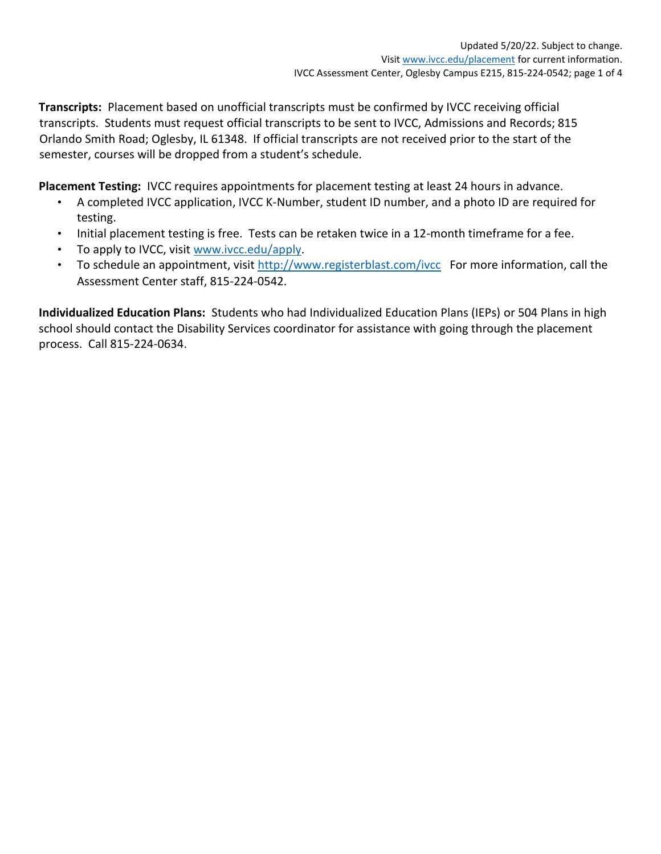**Transcripts:** Placement based on unofficial transcripts must be confirmed by IVCC receiving official transcripts. Students must request official transcripts to be sent to IVCC, Admissions and Records; 815 Orlando Smith Road; Oglesby, IL 61348. If official transcripts are not received prior to the start of the semester, courses will be dropped from a student's schedule.

**Placement Testing:** IVCC requires appointments for placement testing at least 24 hours in advance.

- A completed IVCC application, IVCC K-Number, student ID number, and a photo ID are required for testing.
- Initial placement testing is free. Tests can be retaken twice in a 12-month timeframe for a fee.
- To apply to IVCC, visit [www.ivcc.edu/apply.](http://www.ivcc.edu/apply)
- To schedule an appointment, visit<http://www.registerblast.com/ivcc>For more information, call the Assessment Center staff, 815-224-0542.

**Individualized Education Plans:** Students who had Individualized Education Plans (IEPs) or 504 Plans in high school should contact the Disability Services coordinator for assistance with going through the placement process. Call 815-224-0634.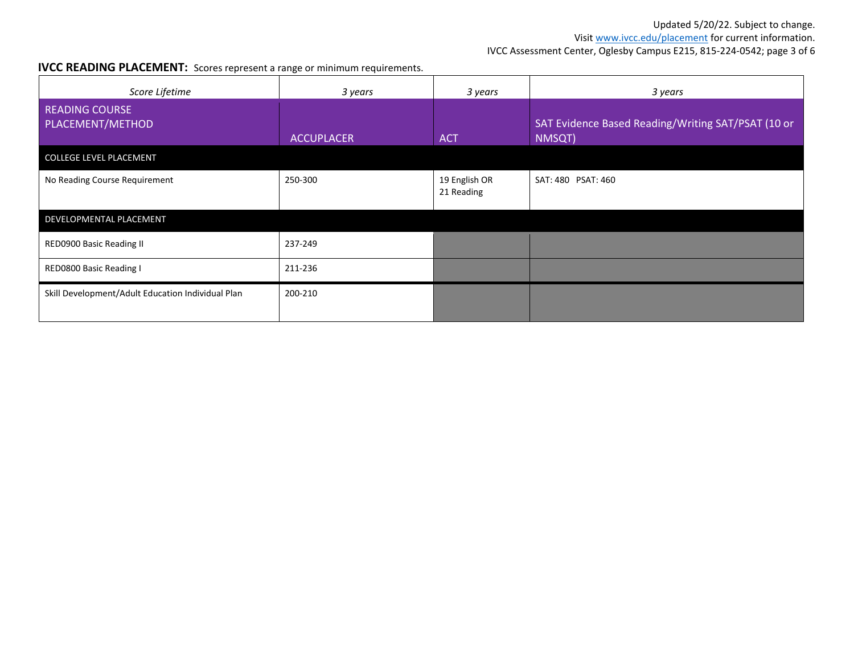Visit www.ivcc.edu/placement for current information.

IVCC Assessment Center, Oglesby Campus E215, 815-224-0542; page 3 of 6

#### **IVCC READING PLACEMENT:** Scores represent a range or minimum requirements.

| Score Lifetime                                    | 3 years           | 3 years                     | 3 years                                                      |  |  |
|---------------------------------------------------|-------------------|-----------------------------|--------------------------------------------------------------|--|--|
| <b>READING COURSE</b><br>PLACEMENT/METHOD         | <b>ACCUPLACER</b> | <b>ACT</b>                  | SAT Evidence Based Reading/Writing SAT/PSAT (10 or<br>NMSQT) |  |  |
| COLLEGE LEVEL PLACEMENT                           |                   |                             |                                                              |  |  |
| No Reading Course Requirement                     | 250-300           | 19 English OR<br>21 Reading | SAT: 480 PSAT: 460                                           |  |  |
| DEVELOPMENTAL PLACEMENT                           |                   |                             |                                                              |  |  |
| RED0900 Basic Reading II                          | 237-249           |                             |                                                              |  |  |
| RED0800 Basic Reading I                           | 211-236           |                             |                                                              |  |  |
| Skill Development/Adult Education Individual Plan | 200-210           |                             |                                                              |  |  |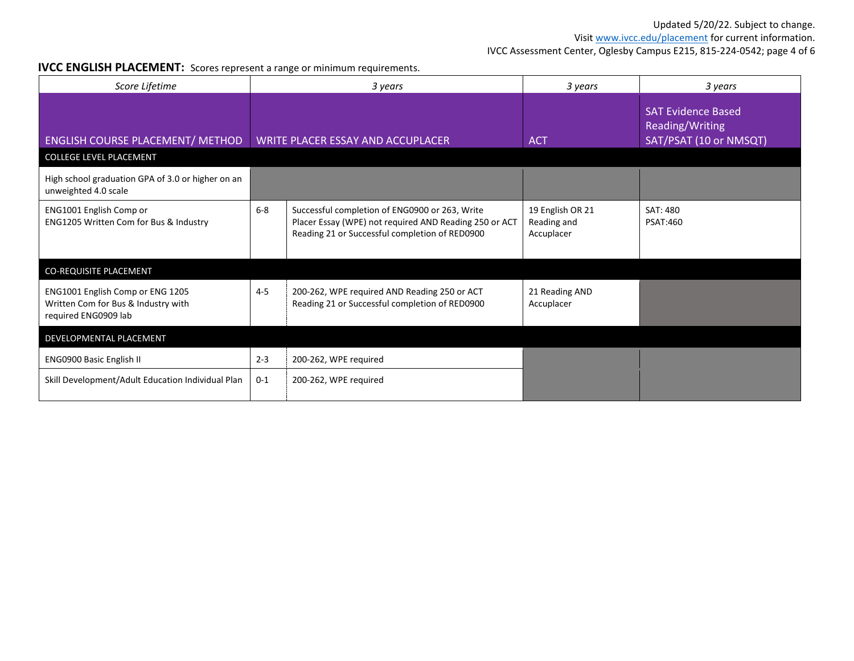Visit www.ivcc.edu/placement for current information.

IVCC Assessment Center, Oglesby Campus E215, 815-224-0542; page 4 of 6

#### **IVCC ENGLISH PLACEMENT:** Scores represent a range or minimum requirements.

| Score Lifetime                                                                                  | 3 years                           |                                                                                                                                                            | 3 years                                       | 3 years                                                                |  |
|-------------------------------------------------------------------------------------------------|-----------------------------------|------------------------------------------------------------------------------------------------------------------------------------------------------------|-----------------------------------------------|------------------------------------------------------------------------|--|
| <b>ENGLISH COURSE PLACEMENT/ METHOD</b><br><b>COLLEGE LEVEL PLACEMENT</b>                       | WRITE PLACER ESSAY AND ACCUPLACER |                                                                                                                                                            | <b>ACT</b>                                    | <b>SAT Evidence Based</b><br>Reading/Writing<br>SAT/PSAT (10 or NMSQT) |  |
| High school graduation GPA of 3.0 or higher on an<br>unweighted 4.0 scale                       |                                   |                                                                                                                                                            |                                               |                                                                        |  |
| ENG1001 English Comp or<br>ENG1205 Written Com for Bus & Industry                               | $6-8$                             | Successful completion of ENG0900 or 263, Write<br>Placer Essay (WPE) not required AND Reading 250 or ACT<br>Reading 21 or Successful completion of RED0900 | 19 English OR 21<br>Reading and<br>Accuplacer | SAT: 480<br><b>PSAT:460</b>                                            |  |
| CO-REQUISITE PLACEMENT                                                                          |                                   |                                                                                                                                                            |                                               |                                                                        |  |
| ENG1001 English Comp or ENG 1205<br>Written Com for Bus & Industry with<br>required ENG0909 lab | $4 - 5$                           | 200-262, WPE required AND Reading 250 or ACT<br>Reading 21 or Successful completion of RED0900                                                             | 21 Reading AND<br>Accuplacer                  |                                                                        |  |
| DEVELOPMENTAL PLACEMENT                                                                         |                                   |                                                                                                                                                            |                                               |                                                                        |  |
| <b>ENG0900 Basic English II</b>                                                                 | $2 - 3$                           | 200-262, WPE required                                                                                                                                      |                                               |                                                                        |  |
| Skill Development/Adult Education Individual Plan                                               | $0 - 1$                           | 200-262, WPE required                                                                                                                                      |                                               |                                                                        |  |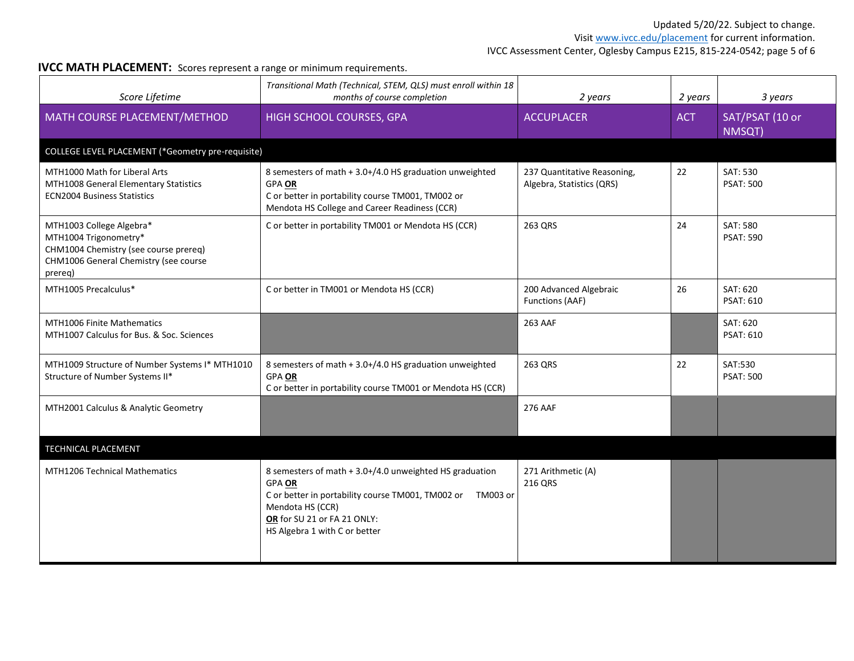Visit www.ivcc.edu/placement for current information.

IVCC Assessment Center, Oglesby Campus E215, 815-224-0542; page 5 of 6

#### **IVCC MATH PLACEMENT:** Scores represent a range or minimum requirements.

| Score Lifetime                                                                                                                                 | Transitional Math (Technical, STEM, QLS) must enroll within 18<br>months of course completion                                                                                                                              | 2 years                                                  | 2 years    | 3 years                      |  |
|------------------------------------------------------------------------------------------------------------------------------------------------|----------------------------------------------------------------------------------------------------------------------------------------------------------------------------------------------------------------------------|----------------------------------------------------------|------------|------------------------------|--|
| MATH COURSE PLACEMENT/METHOD                                                                                                                   | HIGH SCHOOL COURSES, GPA                                                                                                                                                                                                   | <b>ACCUPLACER</b>                                        | <b>ACT</b> | SAT/PSAT (10 or<br>NMSQT)    |  |
| COLLEGE LEVEL PLACEMENT (*Geometry pre-requisite)                                                                                              |                                                                                                                                                                                                                            |                                                          |            |                              |  |
| MTH1000 Math for Liberal Arts<br>MTH1008 General Elementary Statistics<br><b>ECN2004 Business Statistics</b>                                   | 8 semesters of math + 3.0+/4.0 HS graduation unweighted<br>GPA OR<br>C or better in portability course TM001, TM002 or<br>Mendota HS College and Career Readiness (CCR)                                                    | 237 Quantitative Reasoning,<br>Algebra, Statistics (QRS) | 22         | SAT: 530<br><b>PSAT: 500</b> |  |
| MTH1003 College Algebra*<br>MTH1004 Trigonometry*<br>CHM1004 Chemistry (see course prereq)<br>CHM1006 General Chemistry (see course<br>prereg) | C or better in portability TM001 or Mendota HS (CCR)                                                                                                                                                                       | 263 QRS                                                  | 24         | SAT: 580<br><b>PSAT: 590</b> |  |
| MTH1005 Precalculus*                                                                                                                           | C or better in TM001 or Mendota HS (CCR)                                                                                                                                                                                   | 200 Advanced Algebraic<br>Functions (AAF)                | 26         | SAT: 620<br><b>PSAT: 610</b> |  |
| <b>MTH1006 Finite Mathematics</b><br>MTH1007 Calculus for Bus. & Soc. Sciences                                                                 |                                                                                                                                                                                                                            | 263 AAF                                                  |            | SAT: 620<br><b>PSAT: 610</b> |  |
| MTH1009 Structure of Number Systems I* MTH1010<br>Structure of Number Systems II*                                                              | 8 semesters of math + 3.0+/4.0 HS graduation unweighted<br>GPA OR<br>C or better in portability course TM001 or Mendota HS (CCR)                                                                                           | 263 QRS                                                  | 22         | SAT:530<br><b>PSAT: 500</b>  |  |
| MTH2001 Calculus & Analytic Geometry                                                                                                           |                                                                                                                                                                                                                            | 276 AAF                                                  |            |                              |  |
| TECHNICAL PLACEMENT                                                                                                                            |                                                                                                                                                                                                                            |                                                          |            |                              |  |
| <b>MTH1206 Technical Mathematics</b>                                                                                                           | 8 semesters of math + 3.0+/4.0 unweighted HS graduation<br><b>GPA OR</b><br>C or better in portability course TM001, TM002 or TM003 or<br>Mendota HS (CCR)<br>OR for SU 21 or FA 21 ONLY:<br>HS Algebra 1 with C or better | 271 Arithmetic (A)<br>216 QRS                            |            |                              |  |